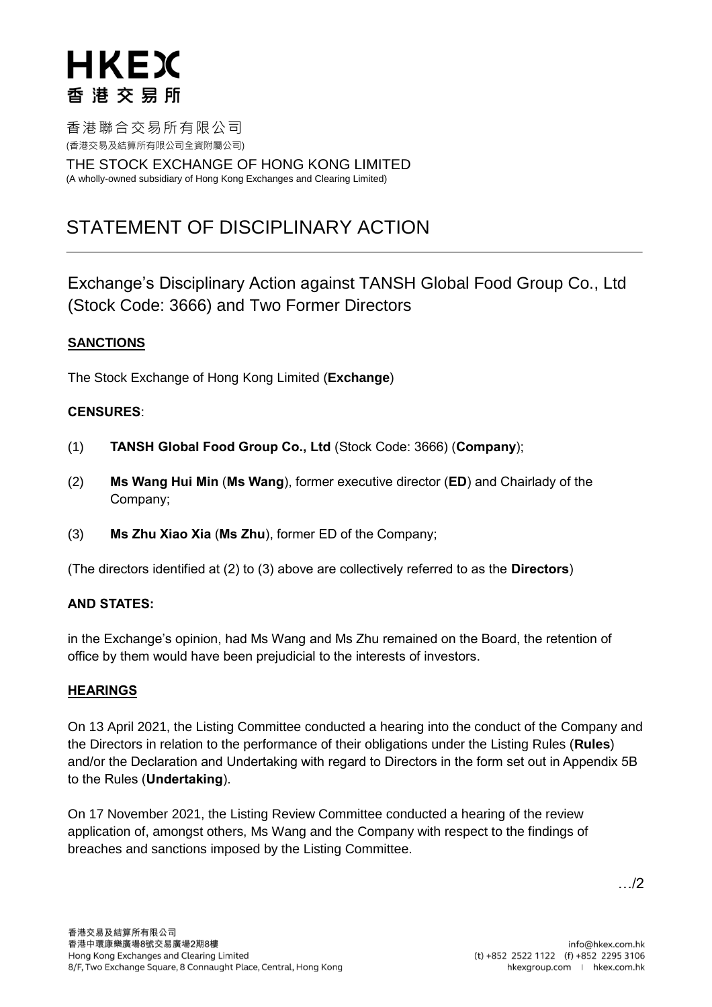# **HKEX** 香港交易所

香港聯合交易所有限公司 (香港交易及結算所有限公司全資附屬公司)

THE STOCK EXCHANGE OF HONG KONG LIMITED (A wholly-owned subsidiary of Hong Kong Exchanges and Clearing Limited)

# STATEMENT OF DISCIPLINARY ACTION

Exchange's Disciplinary Action against TANSH Global Food Group Co., Ltd (Stock Code: 3666) and Two Former Directors

# **SANCTIONS**

The Stock Exchange of Hong Kong Limited (**Exchange**)

## **CENSURES**:

- (1) **TANSH Global Food Group Co., Ltd** (Stock Code: 3666) (**Company**);
- (2) **Ms Wang Hui Min** (**Ms Wang**), former executive director (**ED**) and Chairlady of the Company;
- (3) **Ms Zhu Xiao Xia** (**Ms Zhu**), former ED of the Company;

(The directors identified at (2) to (3) above are collectively referred to as the **Directors**)

## **AND STATES:**

in the Exchange's opinion, had Ms Wang and Ms Zhu remained on the Board, the retention of office by them would have been prejudicial to the interests of investors.

## **HEARINGS**

On 13 April 2021, the Listing Committee conducted a hearing into the conduct of the Company and the Directors in relation to the performance of their obligations under the Listing Rules (**Rules**) and/or the Declaration and Undertaking with regard to Directors in the form set out in Appendix 5B to the Rules (**Undertaking**).

On 17 November 2021, the Listing Review Committee conducted a hearing of the review application of, amongst others, Ms Wang and the Company with respect to the findings of breaches and sanctions imposed by the Listing Committee.

…/2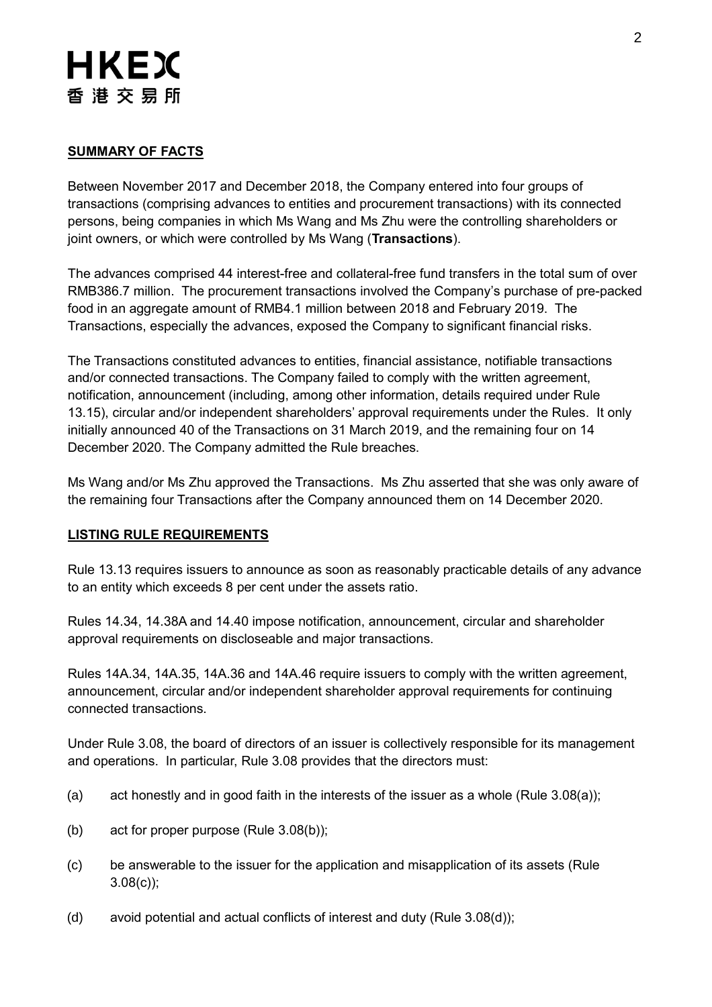# **HKEX** 香港交易所

# **SUMMARY OF FACTS**

Between November 2017 and December 2018, the Company entered into four groups of transactions (comprising advances to entities and procurement transactions) with its connected persons, being companies in which Ms Wang and Ms Zhu were the controlling shareholders or joint owners, or which were controlled by Ms Wang (**Transactions**).

The advances comprised 44 interest-free and collateral-free fund transfers in the total sum of over RMB386.7 million. The procurement transactions involved the Company's purchase of pre-packed food in an aggregate amount of RMB4.1 million between 2018 and February 2019. The Transactions, especially the advances, exposed the Company to significant financial risks.

The Transactions constituted advances to entities, financial assistance, notifiable transactions and/or connected transactions. The Company failed to comply with the written agreement, notification, announcement (including, among other information, details required under Rule 13.15), circular and/or independent shareholders' approval requirements under the Rules. It only initially announced 40 of the Transactions on 31 March 2019, and the remaining four on 14 December 2020. The Company admitted the Rule breaches.

Ms Wang and/or Ms Zhu approved the Transactions. Ms Zhu asserted that she was only aware of the remaining four Transactions after the Company announced them on 14 December 2020.

## **LISTING RULE REQUIREMENTS**

Rule 13.13 requires issuers to announce as soon as reasonably practicable details of any advance to an entity which exceeds 8 per cent under the assets ratio.

Rules 14.34, 14.38A and 14.40 impose notification, announcement, circular and shareholder approval requirements on discloseable and major transactions.

Rules 14A.34, 14A.35, 14A.36 and 14A.46 require issuers to comply with the written agreement, announcement, circular and/or independent shareholder approval requirements for continuing connected transactions.

Under Rule 3.08, the board of directors of an issuer is collectively responsible for its management and operations. In particular, Rule 3.08 provides that the directors must:

- (a) act honestly and in good faith in the interests of the issuer as a whole (Rule 3.08(a));
- (b) act for proper purpose (Rule 3.08(b));
- (c) be answerable to the issuer for the application and misapplication of its assets (Rule 3.08(c));
- (d) avoid potential and actual conflicts of interest and duty (Rule 3.08(d));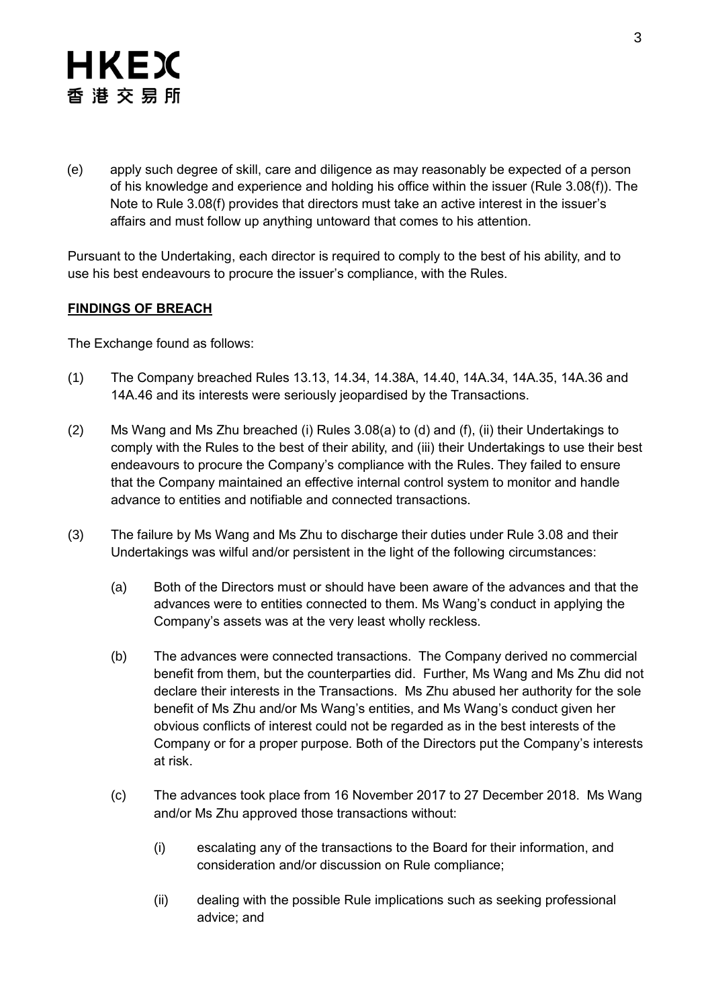# HKEX 香港交易所

(e) apply such degree of skill, care and diligence as may reasonably be expected of a person of his knowledge and experience and holding his office within the issuer (Rule 3.08(f)). The Note to Rule 3.08(f) provides that directors must take an active interest in the issuer's affairs and must follow up anything untoward that comes to his attention.

Pursuant to the Undertaking, each director is required to comply to the best of his ability, and to use his best endeavours to procure the issuer's compliance, with the Rules.

# **FINDINGS OF BREACH**

The Exchange found as follows:

- (1) The Company breached Rules 13.13, 14.34, 14.38A, 14.40, 14A.34, 14A.35, 14A.36 and 14A.46 and its interests were seriously jeopardised by the Transactions.
- (2) Ms Wang and Ms Zhu breached (i) Rules 3.08(a) to (d) and (f), (ii) their Undertakings to comply with the Rules to the best of their ability, and (iii) their Undertakings to use their best endeavours to procure the Company's compliance with the Rules. They failed to ensure that the Company maintained an effective internal control system to monitor and handle advance to entities and notifiable and connected transactions.
- (3) The failure by Ms Wang and Ms Zhu to discharge their duties under Rule 3.08 and their Undertakings was wilful and/or persistent in the light of the following circumstances:
	- (a) Both of the Directors must or should have been aware of the advances and that the advances were to entities connected to them. Ms Wang's conduct in applying the Company's assets was at the very least wholly reckless.
	- (b) The advances were connected transactions. The Company derived no commercial benefit from them, but the counterparties did. Further, Ms Wang and Ms Zhu did not declare their interests in the Transactions. Ms Zhu abused her authority for the sole benefit of Ms Zhu and/or Ms Wang's entities, and Ms Wang's conduct given her obvious conflicts of interest could not be regarded as in the best interests of the Company or for a proper purpose. Both of the Directors put the Company's interests at risk.
	- (c) The advances took place from 16 November 2017 to 27 December 2018. Ms Wang and/or Ms Zhu approved those transactions without:
		- (i) escalating any of the transactions to the Board for their information, and consideration and/or discussion on Rule compliance;
		- (ii) dealing with the possible Rule implications such as seeking professional advice; and